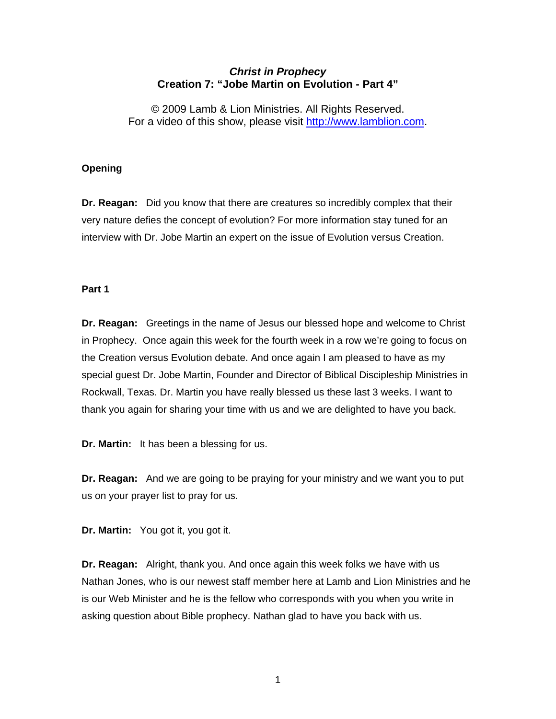## *Christ in Prophecy*  **Creation 7: "Jobe Martin on Evolution - Part 4"**

© 2009 Lamb & Lion Ministries. All Rights Reserved. For a video of this show, please visit [http://www.lamblion.com](http://www.lamblion.com/).

## **Opening**

**Dr. Reagan:** Did you know that there are creatures so incredibly complex that their very nature defies the concept of evolution? For more information stay tuned for an interview with Dr. Jobe Martin an expert on the issue of Evolution versus Creation.

### **Part 1**

**Dr. Reagan:** Greetings in the name of Jesus our blessed hope and welcome to Christ in Prophecy. Once again this week for the fourth week in a row we're going to focus on the Creation versus Evolution debate. And once again I am pleased to have as my special guest Dr. Jobe Martin, Founder and Director of Biblical Discipleship Ministries in Rockwall, Texas. Dr. Martin you have really blessed us these last 3 weeks. I want to thank you again for sharing your time with us and we are delighted to have you back.

**Dr. Martin:** It has been a blessing for us.

**Dr. Reagan:** And we are going to be praying for your ministry and we want you to put us on your prayer list to pray for us.

**Dr. Martin:** You got it, you got it.

**Dr. Reagan:** Alright, thank you. And once again this week folks we have with us Nathan Jones, who is our newest staff member here at Lamb and Lion Ministries and he is our Web Minister and he is the fellow who corresponds with you when you write in asking question about Bible prophecy. Nathan glad to have you back with us.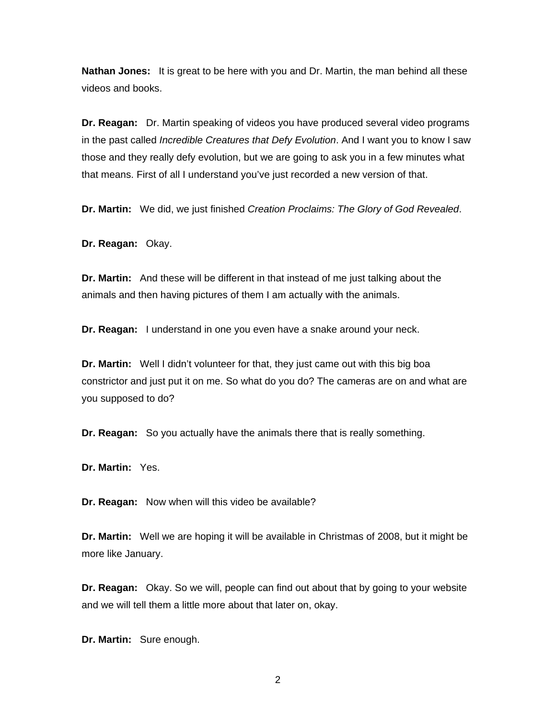**Nathan Jones:** It is great to be here with you and Dr. Martin, the man behind all these videos and books.

**Dr. Reagan:** Dr. Martin speaking of videos you have produced several video programs in the past called *Incredible Creatures that Defy Evolution*. And I want you to know I saw those and they really defy evolution, but we are going to ask you in a few minutes what that means. First of all I understand you've just recorded a new version of that.

**Dr. Martin:** We did, we just finished *Creation Proclaims: The Glory of God Revealed*.

**Dr. Reagan:** Okay.

**Dr. Martin:** And these will be different in that instead of me just talking about the animals and then having pictures of them I am actually with the animals.

**Dr. Reagan:** I understand in one you even have a snake around your neck.

**Dr. Martin:** Well I didn't volunteer for that, they just came out with this big boa constrictor and just put it on me. So what do you do? The cameras are on and what are you supposed to do?

**Dr. Reagan:** So you actually have the animals there that is really something.

**Dr. Martin:** Yes.

**Dr. Reagan:** Now when will this video be available?

**Dr. Martin:** Well we are hoping it will be available in Christmas of 2008, but it might be more like January.

**Dr. Reagan:** Okay. So we will, people can find out about that by going to your website and we will tell them a little more about that later on, okay.

**Dr. Martin:** Sure enough.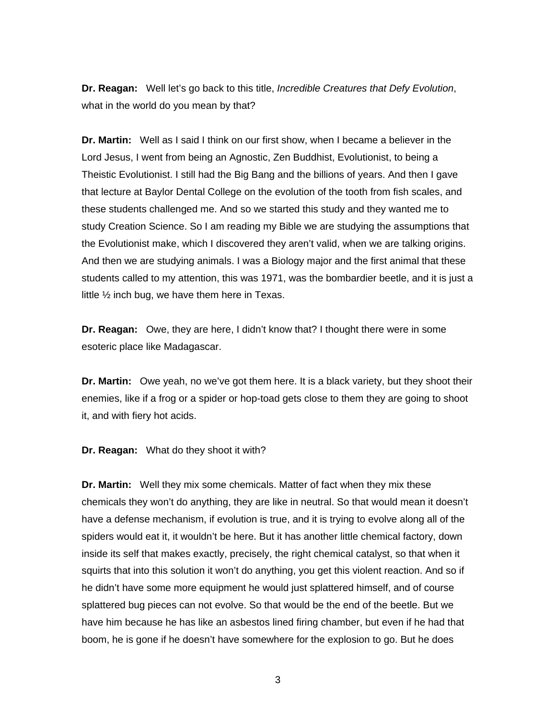**Dr. Reagan:** Well let's go back to this title, *Incredible Creatures that Defy Evolution*, what in the world do you mean by that?

**Dr. Martin:** Well as I said I think on our first show, when I became a believer in the Lord Jesus, I went from being an Agnostic, Zen Buddhist, Evolutionist, to being a Theistic Evolutionist. I still had the Big Bang and the billions of years. And then I gave that lecture at Baylor Dental College on the evolution of the tooth from fish scales, and these students challenged me. And so we started this study and they wanted me to study Creation Science. So I am reading my Bible we are studying the assumptions that the Evolutionist make, which I discovered they aren't valid, when we are talking origins. And then we are studying animals. I was a Biology major and the first animal that these students called to my attention, this was 1971, was the bombardier beetle, and it is just a little ½ inch bug, we have them here in Texas.

**Dr. Reagan:** Owe, they are here, I didn't know that? I thought there were in some esoteric place like Madagascar.

**Dr. Martin:** Owe yeah, no we've got them here. It is a black variety, but they shoot their enemies, like if a frog or a spider or hop-toad gets close to them they are going to shoot it, and with fiery hot acids.

**Dr. Reagan:** What do they shoot it with?

**Dr. Martin:** Well they mix some chemicals. Matter of fact when they mix these chemicals they won't do anything, they are like in neutral. So that would mean it doesn't have a defense mechanism, if evolution is true, and it is trying to evolve along all of the spiders would eat it, it wouldn't be here. But it has another little chemical factory, down inside its self that makes exactly, precisely, the right chemical catalyst, so that when it squirts that into this solution it won't do anything, you get this violent reaction. And so if he didn't have some more equipment he would just splattered himself, and of course splattered bug pieces can not evolve. So that would be the end of the beetle. But we have him because he has like an asbestos lined firing chamber, but even if he had that boom, he is gone if he doesn't have somewhere for the explosion to go. But he does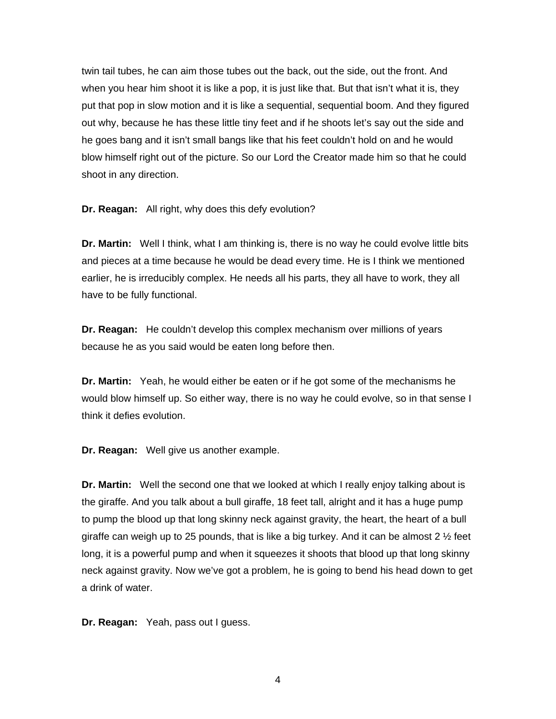twin tail tubes, he can aim those tubes out the back, out the side, out the front. And when you hear him shoot it is like a pop, it is just like that. But that isn't what it is, they put that pop in slow motion and it is like a sequential, sequential boom. And they figured out why, because he has these little tiny feet and if he shoots let's say out the side and he goes bang and it isn't small bangs like that his feet couldn't hold on and he would blow himself right out of the picture. So our Lord the Creator made him so that he could shoot in any direction.

**Dr. Reagan:** All right, why does this defy evolution?

**Dr. Martin:** Well I think, what I am thinking is, there is no way he could evolve little bits and pieces at a time because he would be dead every time. He is I think we mentioned earlier, he is irreducibly complex. He needs all his parts, they all have to work, they all have to be fully functional.

**Dr. Reagan:** He couldn't develop this complex mechanism over millions of years because he as you said would be eaten long before then.

**Dr. Martin:** Yeah, he would either be eaten or if he got some of the mechanisms he would blow himself up. So either way, there is no way he could evolve, so in that sense I think it defies evolution.

**Dr. Reagan:** Well give us another example.

**Dr. Martin:** Well the second one that we looked at which I really enjoy talking about is the giraffe. And you talk about a bull giraffe, 18 feet tall, alright and it has a huge pump to pump the blood up that long skinny neck against gravity, the heart, the heart of a bull giraffe can weigh up to 25 pounds, that is like a big turkey. And it can be almost 2  $\frac{1}{2}$  feet long, it is a powerful pump and when it squeezes it shoots that blood up that long skinny neck against gravity. Now we've got a problem, he is going to bend his head down to get a drink of water.

**Dr. Reagan:** Yeah, pass out I guess.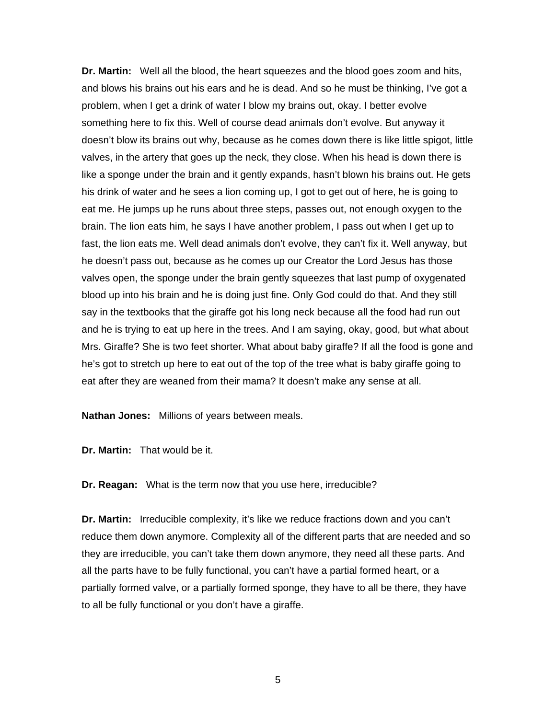**Dr. Martin:** Well all the blood, the heart squeezes and the blood goes zoom and hits, and blows his brains out his ears and he is dead. And so he must be thinking, I've got a problem, when I get a drink of water I blow my brains out, okay. I better evolve something here to fix this. Well of course dead animals don't evolve. But anyway it doesn't blow its brains out why, because as he comes down there is like little spigot, little valves, in the artery that goes up the neck, they close. When his head is down there is like a sponge under the brain and it gently expands, hasn't blown his brains out. He gets his drink of water and he sees a lion coming up, I got to get out of here, he is going to eat me. He jumps up he runs about three steps, passes out, not enough oxygen to the brain. The lion eats him, he says I have another problem, I pass out when I get up to fast, the lion eats me. Well dead animals don't evolve, they can't fix it. Well anyway, but he doesn't pass out, because as he comes up our Creator the Lord Jesus has those valves open, the sponge under the brain gently squeezes that last pump of oxygenated blood up into his brain and he is doing just fine. Only God could do that. And they still say in the textbooks that the giraffe got his long neck because all the food had run out and he is trying to eat up here in the trees. And I am saying, okay, good, but what about Mrs. Giraffe? She is two feet shorter. What about baby giraffe? If all the food is gone and he's got to stretch up here to eat out of the top of the tree what is baby giraffe going to eat after they are weaned from their mama? It doesn't make any sense at all.

**Nathan Jones:** Millions of years between meals.

**Dr. Martin:** That would be it.

**Dr. Reagan:** What is the term now that you use here, irreducible?

**Dr. Martin:** Irreducible complexity, it's like we reduce fractions down and you can't reduce them down anymore. Complexity all of the different parts that are needed and so they are irreducible, you can't take them down anymore, they need all these parts. And all the parts have to be fully functional, you can't have a partial formed heart, or a partially formed valve, or a partially formed sponge, they have to all be there, they have to all be fully functional or you don't have a giraffe.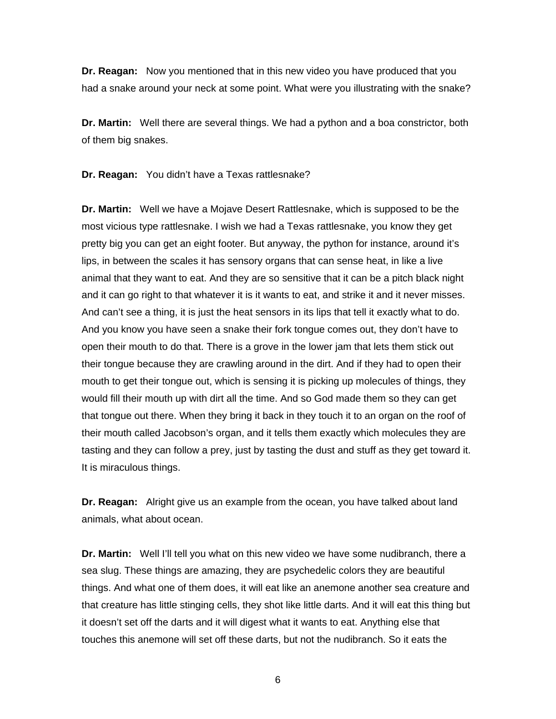**Dr. Reagan:** Now you mentioned that in this new video you have produced that you had a snake around your neck at some point. What were you illustrating with the snake?

**Dr. Martin:** Well there are several things. We had a python and a boa constrictor, both of them big snakes.

**Dr. Reagan:** You didn't have a Texas rattlesnake?

**Dr. Martin:** Well we have a Mojave Desert Rattlesnake, which is supposed to be the most vicious type rattlesnake. I wish we had a Texas rattlesnake, you know they get pretty big you can get an eight footer. But anyway, the python for instance, around it's lips, in between the scales it has sensory organs that can sense heat, in like a live animal that they want to eat. And they are so sensitive that it can be a pitch black night and it can go right to that whatever it is it wants to eat, and strike it and it never misses. And can't see a thing, it is just the heat sensors in its lips that tell it exactly what to do. And you know you have seen a snake their fork tongue comes out, they don't have to open their mouth to do that. There is a grove in the lower jam that lets them stick out their tongue because they are crawling around in the dirt. And if they had to open their mouth to get their tongue out, which is sensing it is picking up molecules of things, they would fill their mouth up with dirt all the time. And so God made them so they can get that tongue out there. When they bring it back in they touch it to an organ on the roof of their mouth called Jacobson's organ, and it tells them exactly which molecules they are tasting and they can follow a prey, just by tasting the dust and stuff as they get toward it. It is miraculous things.

**Dr. Reagan:** Alright give us an example from the ocean, you have talked about land animals, what about ocean.

**Dr. Martin:** Well I'll tell you what on this new video we have some nudibranch, there a sea slug. These things are amazing, they are psychedelic colors they are beautiful things. And what one of them does, it will eat like an anemone another sea creature and that creature has little stinging cells, they shot like little darts. And it will eat this thing but it doesn't set off the darts and it will digest what it wants to eat. Anything else that touches this anemone will set off these darts, but not the nudibranch. So it eats the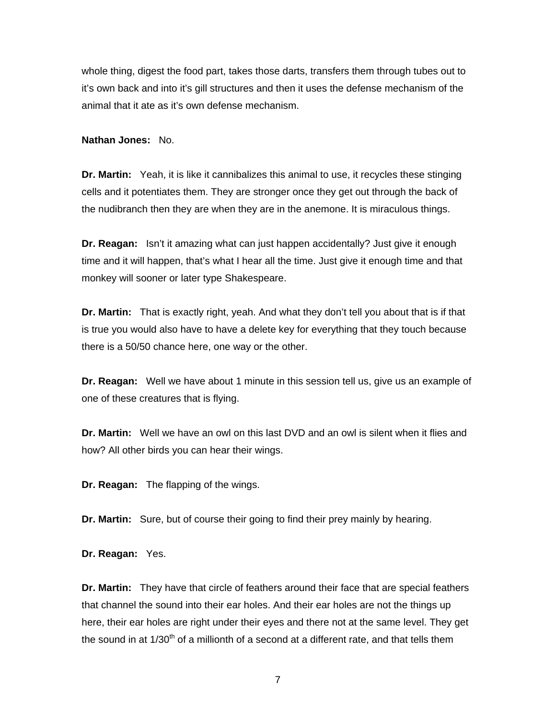whole thing, digest the food part, takes those darts, transfers them through tubes out to it's own back and into it's gill structures and then it uses the defense mechanism of the animal that it ate as it's own defense mechanism.

**Nathan Jones:** No.

**Dr. Martin:** Yeah, it is like it cannibalizes this animal to use, it recycles these stinging cells and it potentiates them. They are stronger once they get out through the back of the nudibranch then they are when they are in the anemone. It is miraculous things.

**Dr. Reagan:** Isn't it amazing what can just happen accidentally? Just give it enough time and it will happen, that's what I hear all the time. Just give it enough time and that monkey will sooner or later type Shakespeare.

**Dr. Martin:** That is exactly right, yeah. And what they don't tell you about that is if that is true you would also have to have a delete key for everything that they touch because there is a 50/50 chance here, one way or the other.

**Dr. Reagan:** Well we have about 1 minute in this session tell us, give us an example of one of these creatures that is flying.

**Dr. Martin:** Well we have an owl on this last DVD and an owl is silent when it flies and how? All other birds you can hear their wings.

**Dr. Reagan:** The flapping of the wings.

**Dr. Martin:** Sure, but of course their going to find their prey mainly by hearing.

**Dr. Reagan:** Yes.

**Dr. Martin:** They have that circle of feathers around their face that are special feathers that channel the sound into their ear holes. And their ear holes are not the things up here, their ear holes are right under their eyes and there not at the same level. They get the sound in at  $1/30<sup>th</sup>$  of a millionth of a second at a different rate, and that tells them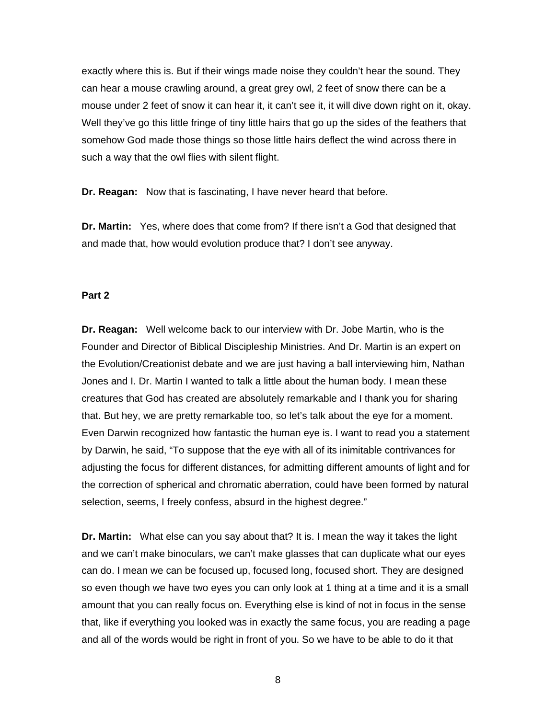exactly where this is. But if their wings made noise they couldn't hear the sound. They can hear a mouse crawling around, a great grey owl, 2 feet of snow there can be a mouse under 2 feet of snow it can hear it, it can't see it, it will dive down right on it, okay. Well they've go this little fringe of tiny little hairs that go up the sides of the feathers that somehow God made those things so those little hairs deflect the wind across there in such a way that the owl flies with silent flight.

**Dr. Reagan:** Now that is fascinating, I have never heard that before.

**Dr. Martin:** Yes, where does that come from? If there isn't a God that designed that and made that, how would evolution produce that? I don't see anyway.

#### **Part 2**

**Dr. Reagan:** Well welcome back to our interview with Dr. Jobe Martin, who is the Founder and Director of Biblical Discipleship Ministries. And Dr. Martin is an expert on the Evolution/Creationist debate and we are just having a ball interviewing him, Nathan Jones and I. Dr. Martin I wanted to talk a little about the human body. I mean these creatures that God has created are absolutely remarkable and I thank you for sharing that. But hey, we are pretty remarkable too, so let's talk about the eye for a moment. Even Darwin recognized how fantastic the human eye is. I want to read you a statement by Darwin, he said, "To suppose that the eye with all of its inimitable contrivances for adjusting the focus for different distances, for admitting different amounts of light and for the correction of spherical and chromatic aberration, could have been formed by natural selection, seems, I freely confess, absurd in the highest degree."

**Dr. Martin:** What else can you say about that? It is. I mean the way it takes the light and we can't make binoculars, we can't make glasses that can duplicate what our eyes can do. I mean we can be focused up, focused long, focused short. They are designed so even though we have two eyes you can only look at 1 thing at a time and it is a small amount that you can really focus on. Everything else is kind of not in focus in the sense that, like if everything you looked was in exactly the same focus, you are reading a page and all of the words would be right in front of you. So we have to be able to do it that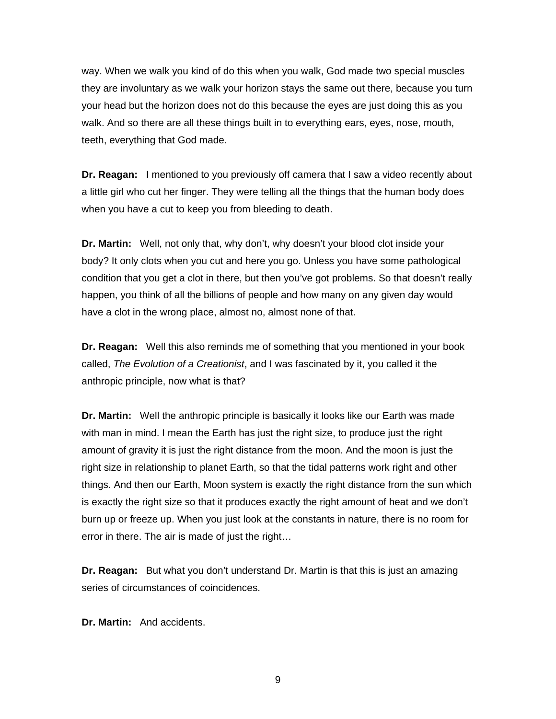way. When we walk you kind of do this when you walk, God made two special muscles they are involuntary as we walk your horizon stays the same out there, because you turn your head but the horizon does not do this because the eyes are just doing this as you walk. And so there are all these things built in to everything ears, eyes, nose, mouth, teeth, everything that God made.

**Dr. Reagan:** I mentioned to you previously off camera that I saw a video recently about a little girl who cut her finger. They were telling all the things that the human body does when you have a cut to keep you from bleeding to death.

**Dr. Martin:** Well, not only that, why don't, why doesn't your blood clot inside your body? It only clots when you cut and here you go. Unless you have some pathological condition that you get a clot in there, but then you've got problems. So that doesn't really happen, you think of all the billions of people and how many on any given day would have a clot in the wrong place, almost no, almost none of that.

**Dr. Reagan:** Well this also reminds me of something that you mentioned in your book called, *The Evolution of a Creationist*, and I was fascinated by it, you called it the anthropic principle, now what is that?

**Dr. Martin:** Well the anthropic principle is basically it looks like our Earth was made with man in mind. I mean the Earth has just the right size, to produce just the right amount of gravity it is just the right distance from the moon. And the moon is just the right size in relationship to planet Earth, so that the tidal patterns work right and other things. And then our Earth, Moon system is exactly the right distance from the sun which is exactly the right size so that it produces exactly the right amount of heat and we don't burn up or freeze up. When you just look at the constants in nature, there is no room for error in there. The air is made of just the right…

**Dr. Reagan:** But what you don't understand Dr. Martin is that this is just an amazing series of circumstances of coincidences.

**Dr. Martin:** And accidents.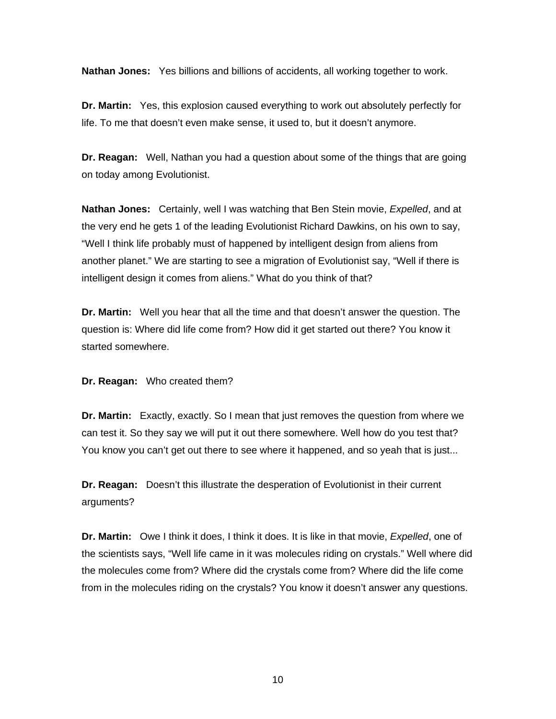**Nathan Jones:** Yes billions and billions of accidents, all working together to work.

**Dr. Martin:** Yes, this explosion caused everything to work out absolutely perfectly for life. To me that doesn't even make sense, it used to, but it doesn't anymore.

**Dr. Reagan:** Well, Nathan you had a question about some of the things that are going on today among Evolutionist.

**Nathan Jones:** Certainly, well I was watching that Ben Stein movie, *Expelled*, and at the very end he gets 1 of the leading Evolutionist Richard Dawkins, on his own to say, "Well I think life probably must of happened by intelligent design from aliens from another planet." We are starting to see a migration of Evolutionist say, "Well if there is intelligent design it comes from aliens." What do you think of that?

**Dr. Martin:** Well you hear that all the time and that doesn't answer the question. The question is: Where did life come from? How did it get started out there? You know it started somewhere.

**Dr. Reagan:** Who created them?

**Dr. Martin:** Exactly, exactly. So I mean that just removes the question from where we can test it. So they say we will put it out there somewhere. Well how do you test that? You know you can't get out there to see where it happened, and so yeah that is just...

**Dr. Reagan:** Doesn't this illustrate the desperation of Evolutionist in their current arguments?

**Dr. Martin:** Owe I think it does, I think it does. It is like in that movie, *Expelled*, one of the scientists says, "Well life came in it was molecules riding on crystals." Well where did the molecules come from? Where did the crystals come from? Where did the life come from in the molecules riding on the crystals? You know it doesn't answer any questions.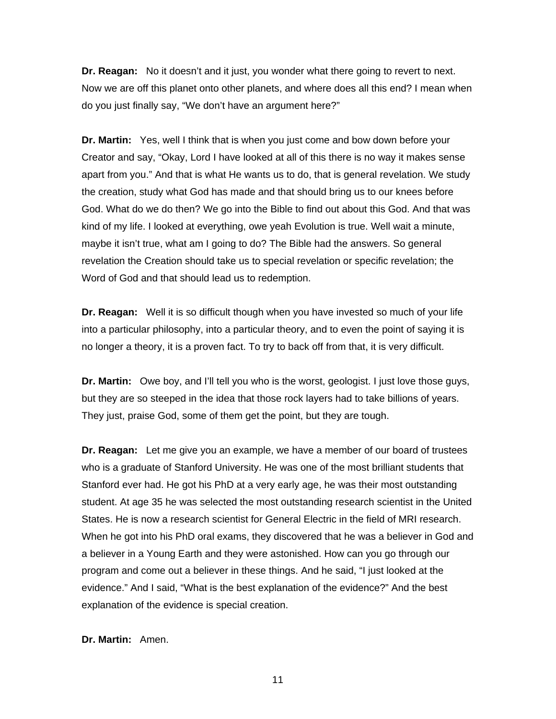**Dr. Reagan:** No it doesn't and it just, you wonder what there going to revert to next. Now we are off this planet onto other planets, and where does all this end? I mean when do you just finally say, "We don't have an argument here?"

**Dr. Martin:** Yes, well I think that is when you just come and bow down before your Creator and say, "Okay, Lord I have looked at all of this there is no way it makes sense apart from you." And that is what He wants us to do, that is general revelation. We study the creation, study what God has made and that should bring us to our knees before God. What do we do then? We go into the Bible to find out about this God. And that was kind of my life. I looked at everything, owe yeah Evolution is true. Well wait a minute, maybe it isn't true, what am I going to do? The Bible had the answers. So general revelation the Creation should take us to special revelation or specific revelation; the Word of God and that should lead us to redemption.

**Dr. Reagan:** Well it is so difficult though when you have invested so much of your life into a particular philosophy, into a particular theory, and to even the point of saying it is no longer a theory, it is a proven fact. To try to back off from that, it is very difficult.

**Dr. Martin:** Owe boy, and I'll tell you who is the worst, geologist. I just love those guys, but they are so steeped in the idea that those rock layers had to take billions of years. They just, praise God, some of them get the point, but they are tough.

**Dr. Reagan:** Let me give you an example, we have a member of our board of trustees who is a graduate of Stanford University. He was one of the most brilliant students that Stanford ever had. He got his PhD at a very early age, he was their most outstanding student. At age 35 he was selected the most outstanding research scientist in the United States. He is now a research scientist for General Electric in the field of MRI research. When he got into his PhD oral exams, they discovered that he was a believer in God and a believer in a Young Earth and they were astonished. How can you go through our program and come out a believer in these things. And he said, "I just looked at the evidence." And I said, "What is the best explanation of the evidence?" And the best explanation of the evidence is special creation.

**Dr. Martin:** Amen.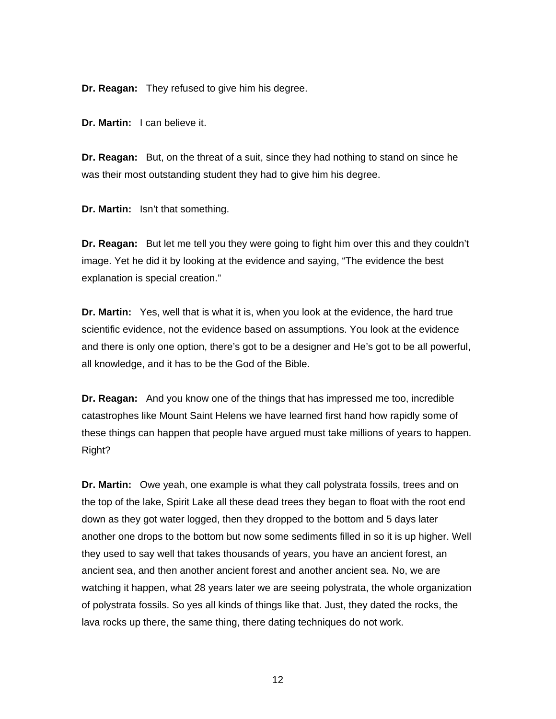**Dr. Reagan:** They refused to give him his degree.

**Dr. Martin:** I can believe it.

**Dr. Reagan:** But, on the threat of a suit, since they had nothing to stand on since he was their most outstanding student they had to give him his degree.

**Dr. Martin:** Isn't that something.

**Dr. Reagan:** But let me tell you they were going to fight him over this and they couldn't image. Yet he did it by looking at the evidence and saying, "The evidence the best explanation is special creation."

**Dr. Martin:** Yes, well that is what it is, when you look at the evidence, the hard true scientific evidence, not the evidence based on assumptions. You look at the evidence and there is only one option, there's got to be a designer and He's got to be all powerful, all knowledge, and it has to be the God of the Bible.

**Dr. Reagan:** And you know one of the things that has impressed me too, incredible catastrophes like Mount Saint Helens we have learned first hand how rapidly some of these things can happen that people have argued must take millions of years to happen. Right?

**Dr. Martin:** Owe yeah, one example is what they call polystrata fossils, trees and on the top of the lake, Spirit Lake all these dead trees they began to float with the root end down as they got water logged, then they dropped to the bottom and 5 days later another one drops to the bottom but now some sediments filled in so it is up higher. Well they used to say well that takes thousands of years, you have an ancient forest, an ancient sea, and then another ancient forest and another ancient sea. No, we are watching it happen, what 28 years later we are seeing polystrata, the whole organization of polystrata fossils. So yes all kinds of things like that. Just, they dated the rocks, the lava rocks up there, the same thing, there dating techniques do not work.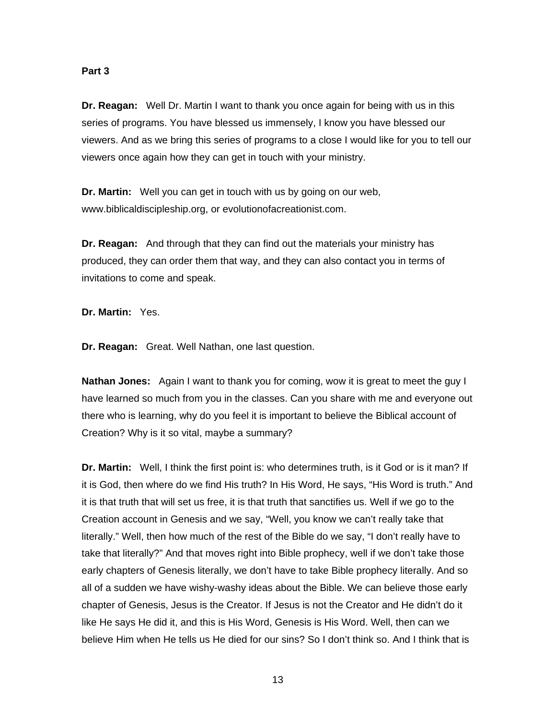#### **Part 3**

**Dr. Reagan:** Well Dr. Martin I want to thank you once again for being with us in this series of programs. You have blessed us immensely, I know you have blessed our viewers. And as we bring this series of programs to a close I would like for you to tell our viewers once again how they can get in touch with your ministry.

**Dr. Martin:** Well you can get in touch with us by going on our web, www.biblicaldiscipleship.org, or evolutionofacreationist.com.

**Dr. Reagan:** And through that they can find out the materials your ministry has produced, they can order them that way, and they can also contact you in terms of invitations to come and speak.

**Dr. Martin:** Yes.

**Dr. Reagan:** Great. Well Nathan, one last question.

**Nathan Jones:** Again I want to thank you for coming, wow it is great to meet the guy I have learned so much from you in the classes. Can you share with me and everyone out there who is learning, why do you feel it is important to believe the Biblical account of Creation? Why is it so vital, maybe a summary?

**Dr. Martin:** Well, I think the first point is: who determines truth, is it God or is it man? If it is God, then where do we find His truth? In His Word, He says, "His Word is truth." And it is that truth that will set us free, it is that truth that sanctifies us. Well if we go to the Creation account in Genesis and we say, "Well, you know we can't really take that literally." Well, then how much of the rest of the Bible do we say, "I don't really have to take that literally?" And that moves right into Bible prophecy, well if we don't take those early chapters of Genesis literally, we don't have to take Bible prophecy literally. And so all of a sudden we have wishy-washy ideas about the Bible. We can believe those early chapter of Genesis, Jesus is the Creator. If Jesus is not the Creator and He didn't do it like He says He did it, and this is His Word, Genesis is His Word. Well, then can we believe Him when He tells us He died for our sins? So I don't think so. And I think that is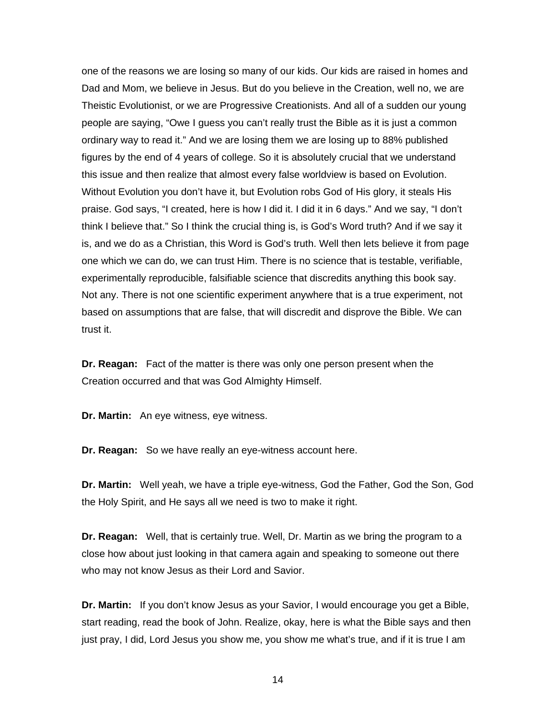one of the reasons we are losing so many of our kids. Our kids are raised in homes and Dad and Mom, we believe in Jesus. But do you believe in the Creation, well no, we are Theistic Evolutionist, or we are Progressive Creationists. And all of a sudden our young people are saying, "Owe I guess you can't really trust the Bible as it is just a common ordinary way to read it." And we are losing them we are losing up to 88% published figures by the end of 4 years of college. So it is absolutely crucial that we understand this issue and then realize that almost every false worldview is based on Evolution. Without Evolution you don't have it, but Evolution robs God of His glory, it steals His praise. God says, "I created, here is how I did it. I did it in 6 days." And we say, "I don't think I believe that." So I think the crucial thing is, is God's Word truth? And if we say it is, and we do as a Christian, this Word is God's truth. Well then lets believe it from page one which we can do, we can trust Him. There is no science that is testable, verifiable, experimentally reproducible, falsifiable science that discredits anything this book say. Not any. There is not one scientific experiment anywhere that is a true experiment, not based on assumptions that are false, that will discredit and disprove the Bible. We can trust it.

**Dr. Reagan:** Fact of the matter is there was only one person present when the Creation occurred and that was God Almighty Himself.

**Dr. Martin:** An eye witness, eye witness.

**Dr. Reagan:** So we have really an eye-witness account here.

**Dr. Martin:** Well yeah, we have a triple eye-witness, God the Father, God the Son, God the Holy Spirit, and He says all we need is two to make it right.

**Dr. Reagan:** Well, that is certainly true. Well, Dr. Martin as we bring the program to a close how about just looking in that camera again and speaking to someone out there who may not know Jesus as their Lord and Savior.

**Dr. Martin:** If you don't know Jesus as your Savior, I would encourage you get a Bible, start reading, read the book of John. Realize, okay, here is what the Bible says and then just pray, I did, Lord Jesus you show me, you show me what's true, and if it is true I am